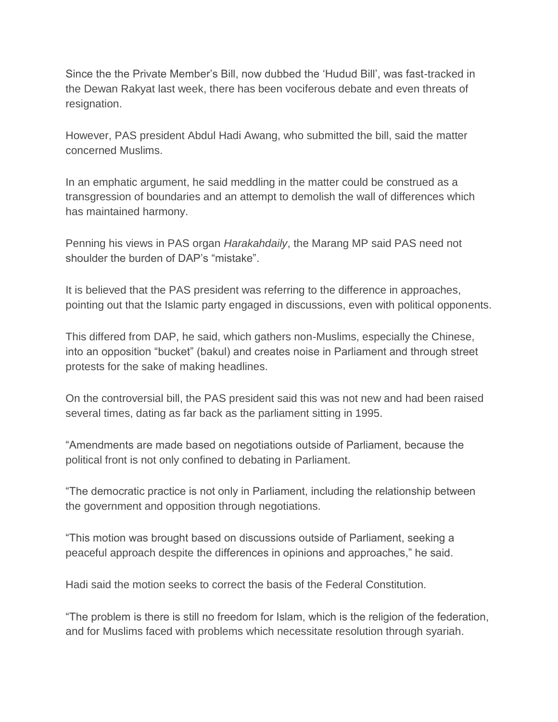Since the the Private Member's Bill, now dubbed the 'Hudud Bill', was fast-tracked in the Dewan Rakyat last week, there has been vociferous debate and even threats of resignation.

However, PAS president Abdul Hadi Awang, who submitted the bill, said the matter concerned Muslims.

In an emphatic argument, he said meddling in the matter could be construed as a transgression of boundaries and an attempt to demolish the wall of differences which has maintained harmony.

Penning his views in PAS organ *Harakahdaily*, the Marang MP said PAS need not shoulder the burden of DAP's "mistake".

It is believed that the PAS president was referring to the difference in approaches, pointing out that the Islamic party engaged in discussions, even with political opponents.

This differed from DAP, he said, which gathers non-Muslims, especially the Chinese, into an opposition "bucket" (bakul) and creates noise in Parliament and through street protests for the sake of making headlines.

On the controversial bill, the PAS president said this was not new and had been raised several times, dating as far back as the parliament sitting in 1995.

"Amendments are made based on negotiations outside of Parliament, because the political front is not only confined to debating in Parliament.

"The democratic practice is not only in Parliament, including the relationship between the government and opposition through negotiations.

"This motion was brought based on discussions outside of Parliament, seeking a peaceful approach despite the differences in opinions and approaches," he said.

Hadi said the motion seeks to correct the basis of the Federal Constitution.

"The problem is there is still no freedom for Islam, which is the religion of the federation, and for Muslims faced with problems which necessitate resolution through syariah.